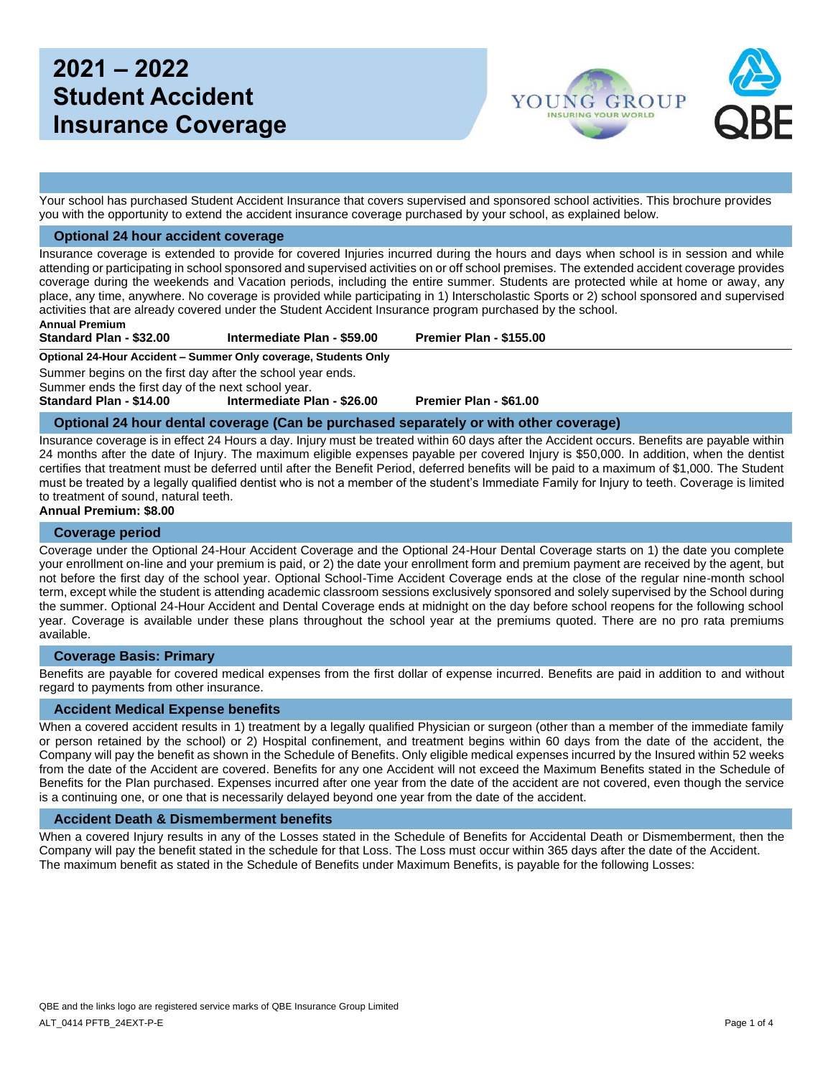# **2021 – 2022 Student Accident Insurance Coverage**



Your school has purchased Student Accident Insurance that covers supervised and sponsored school activities. This brochure provides you with the opportunity to extend the accident insurance coverage purchased by your school, as explained below.

#### **Optional 24 hour accident coverage**

Insurance coverage is extended to provide for covered Injuries incurred during the hours and days when school is in session and while attending or participating in school sponsored and supervised activities on or off school premises. The extended accident coverage provides coverage during the weekends and Vacation periods, including the entire summer. Students are protected while at home or away, any place, any time, anywhere. No coverage is provided while participating in 1) Interscholastic Sports or 2) school sponsored and supervised activities that are already covered under the Student Accident Insurance program purchased by the school.

**Annual Premium**

**Standard Plan - \$32.00 Intermediate Plan - \$59.00 Premier Plan - \$155.00**

**Optional 24-Hour Accident – Summer Only coverage, Students Only**

Summer begins on the first day after the school year ends.

Summer ends the first day of the next school year.

**Standard Plan - \$14.00 Intermediate Plan - \$26.00 Premier Plan - \$61.00**

#### **Optional 24 hour dental coverage (Can be purchased separately or with other coverage)**

Insurance coverage is in effect 24 Hours a day. Injury must be treated within 60 days after the Accident occurs. Benefits are payable within 24 months after the date of Injury. The maximum eligible expenses payable per covered Injury is \$50,000. In addition, when the dentist certifies that treatment must be deferred until after the Benefit Period, deferred benefits will be paid to a maximum of \$1,000. The Student must be treated by a legally qualified dentist who is not a member of the student's Immediate Family for Injury to teeth. Coverage is limited to treatment of sound, natural teeth.

#### **Annual Premium: \$8.00**

#### **Coverage period**

Coverage under the Optional 24-Hour Accident Coverage and the Optional 24-Hour Dental Coverage starts on 1) the date you complete your enrollment on-line and your premium is paid, or 2) the date your enrollment form and premium payment are received by the agent, but not before the first day of the school year. Optional School-Time Accident Coverage ends at the close of the regular nine-month school term, except while the student is attending academic classroom sessions exclusively sponsored and solely supervised by the School during the summer. Optional 24-Hour Accident and Dental Coverage ends at midnight on the day before school reopens for the following school year. Coverage is available under these plans throughout the school year at the premiums quoted. There are no pro rata premiums available.

#### **Coverage Basis: Primary**

Benefits are payable for covered medical expenses from the first dollar of expense incurred. Benefits are paid in addition to and without regard to payments from other insurance.

#### **Accident Medical Expense benefits**

When a covered accident results in 1) treatment by a legally qualified Physician or surgeon (other than a member of the immediate family or person retained by the school) or 2) Hospital confinement, and treatment begins within 60 days from the date of the accident, the Company will pay the benefit as shown in the Schedule of Benefits. Only eligible medical expenses incurred by the Insured within 52 weeks from the date of the Accident are covered. Benefits for any one Accident will not exceed the Maximum Benefits stated in the Schedule of Benefits for the Plan purchased. Expenses incurred after one year from the date of the accident are not covered, even though the service is a continuing one, or one that is necessarily delayed beyond one year from the date of the accident.

#### **Accident Death & Dismemberment benefits**

When a covered Injury results in any of the Losses stated in the Schedule of Benefits for Accidental Death or Dismemberment, then the Company will pay the benefit stated in the schedule for that Loss. The Loss must occur within 365 days after the date of the Accident. The maximum benefit as stated in the Schedule of Benefits under Maximum Benefits, is payable for the following Losses: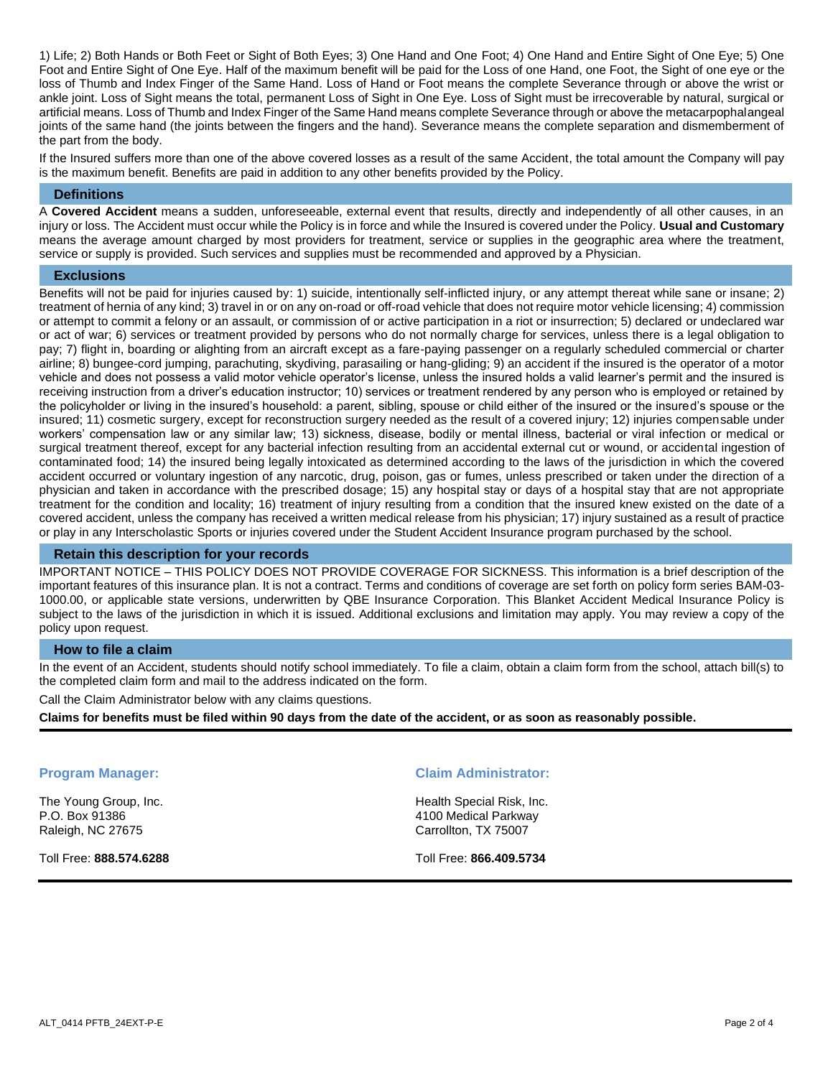1) Life; 2) Both Hands or Both Feet or Sight of Both Eyes; 3) One Hand and One Foot; 4) One Hand and Entire Sight of One Eye; 5) One Foot and Entire Sight of One Eye. Half of the maximum benefit will be paid for the Loss of one Hand, one Foot, the Sight of one eye or the loss of Thumb and Index Finger of the Same Hand. Loss of Hand or Foot means the complete Severance through or above the wrist or ankle joint. Loss of Sight means the total, permanent Loss of Sight in One Eye. Loss of Sight must be irrecoverable by natural, surgical or artificial means. Loss of Thumb and Index Finger of the Same Hand means complete Severance through or above the metacarpophalangeal joints of the same hand (the joints between the fingers and the hand). Severance means the complete separation and dismemberment of the part from the body.

If the Insured suffers more than one of the above covered losses as a result of the same Accident, the total amount the Company will pay is the maximum benefit. Benefits are paid in addition to any other benefits provided by the Policy.

#### **Definitions**

A **Covered Accident** means a sudden, unforeseeable, external event that results, directly and independently of all other causes, in an injury or loss. The Accident must occur while the Policy is in force and while the Insured is covered under the Policy. **Usual and Customary** means the average amount charged by most providers for treatment, service or supplies in the geographic area where the treatment, service or supply is provided. Such services and supplies must be recommended and approved by a Physician.

#### **Exclusions**

Benefits will not be paid for injuries caused by: 1) suicide, intentionally self-inflicted injury, or any attempt thereat while sane or insane; 2) treatment of hernia of any kind; 3) travel in or on any on-road or off-road vehicle that does not require motor vehicle licensing; 4) commission or attempt to commit a felony or an assault, or commission of or active participation in a riot or insurrection; 5) declared or undeclared war or act of war; 6) services or treatment provided by persons who do not normally charge for services, unless there is a legal obligation to pay; 7) flight in, boarding or alighting from an aircraft except as a fare-paying passenger on a regularly scheduled commercial or charter airline; 8) bungee-cord jumping, parachuting, skydiving, parasailing or hang-gliding; 9) an accident if the insured is the operator of a motor vehicle and does not possess a valid motor vehicle operator's license, unless the insured holds a valid learner's permit and the insured is receiving instruction from a driver's education instructor; 10) services or treatment rendered by any person who is employed or retained by the policyholder or living in the insured's household: a parent, sibling, spouse or child either of the insured or the insured's spouse or the insured; 11) cosmetic surgery, except for reconstruction surgery needed as the result of a covered injury; 12) injuries compensable under workers' compensation law or any similar law; 13) sickness, disease, bodily or mental illness, bacterial or viral infection or medical or surgical treatment thereof, except for any bacterial infection resulting from an accidental external cut or wound, or accidental ingestion of contaminated food; 14) the insured being legally intoxicated as determined according to the laws of the jurisdiction in which the covered accident occurred or voluntary ingestion of any narcotic, drug, poison, gas or fumes, unless prescribed or taken under the direction of a physician and taken in accordance with the prescribed dosage; 15) any hospital stay or days of a hospital stay that are not appropriate treatment for the condition and locality; 16) treatment of injury resulting from a condition that the insured knew existed on the date of a covered accident, unless the company has received a written medical release from his physician; 17) injury sustained as a result of practice or play in any Interscholastic Sports or injuries covered under the Student Accident Insurance program purchased by the school.

#### **Retain this description for your records**

IMPORTANT NOTICE – THIS POLICY DOES NOT PROVIDE COVERAGE FOR SICKNESS. This information is a brief description of the important features of this insurance plan. It is not a contract. Terms and conditions of coverage are set forth on policy form series BAM-03- 1000.00, or applicable state versions, underwritten by QBE Insurance Corporation. This Blanket Accident Medical Insurance Policy is subject to the laws of the jurisdiction in which it is issued. Additional exclusions and limitation may apply. You may review a copy of the policy upon request.

#### **How to file a claim**

In the event of an Accident, students should notify school immediately. To file a claim, obtain a claim form from the school, attach bill(s) to the completed claim form and mail to the address indicated on the form.

Call the Claim Administrator below with any claims questions.

**Claims for benefits must be filed within 90 days from the date of the accident, or as soon as reasonably possible.** 

The Young Group, Inc. P.O. Box 91386 Raleigh, NC 27675

Toll Free: **888.574.6288**

#### **Program Manager: Claim Administrator:**

Health Special Risk, Inc. 4100 Medical Parkway Carrollton, TX 75007

Toll Free: **866.409.5734**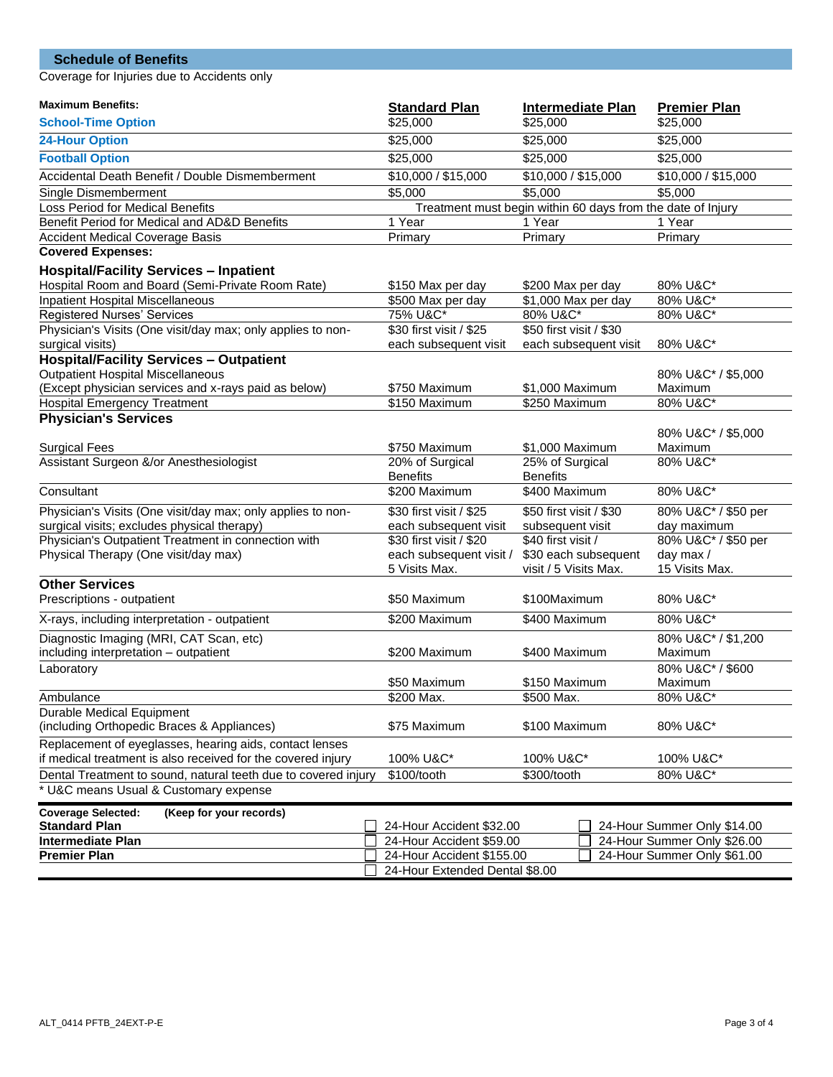## **Schedule of Benefits**

Coverage for Injuries due to Accidents only

| <b>Maximum Benefits:</b><br><b>Standard Plan</b><br><b>Intermediate Plan</b>                                      | <b>Premier Plan</b>                                        |
|-------------------------------------------------------------------------------------------------------------------|------------------------------------------------------------|
| \$25,000<br>\$25,000<br><b>School-Time Option</b>                                                                 | \$25,000                                                   |
| \$25,000<br>\$25,000<br><b>24-Hour Option</b>                                                                     | \$25,000                                                   |
| <b>Football Option</b><br>\$25,000<br>\$25,000                                                                    | \$25,000                                                   |
| Accidental Death Benefit / Double Dismemberment<br>\$10,000 / \$15,000<br>\$10,000 / \$15,000                     | \$10,000 / \$15,000                                        |
| $\frac{1}{5,000}$<br>\$5,000<br>Single Dismemberment                                                              | \$5,000                                                    |
| Loss Period for Medical Benefits<br>Treatment must begin within 60 days from the date of Injury                   |                                                            |
| Benefit Period for Medical and AD&D Benefits<br>1 Year<br>1 Year                                                  | 1 Year                                                     |
| <b>Accident Medical Coverage Basis</b><br>Primary<br>Primary                                                      | Primary                                                    |
| <b>Covered Expenses:</b>                                                                                          |                                                            |
| <b>Hospital/Facility Services - Inpatient</b>                                                                     |                                                            |
| Hospital Room and Board (Semi-Private Room Rate)<br>\$150 Max per day<br>\$200 Max per day                        | 80% U&C*                                                   |
| <b>Inpatient Hospital Miscellaneous</b><br>\$500 Max per day<br>\$1,000 Max per day                               | 80% U&C*                                                   |
| 75% U&C*<br>Registered Nurses' Services<br>80% U&C*                                                               | 80% U&C*                                                   |
| \$30 first visit / \$25<br>\$50 first visit / \$30<br>Physician's Visits (One visit/day max; only applies to non- |                                                            |
| surgical visits)<br>each subsequent visit<br>each subsequent visit                                                | 80% U&C*                                                   |
| <b>Hospital/Facility Services - Outpatient</b>                                                                    |                                                            |
| <b>Outpatient Hospital Miscellaneous</b>                                                                          | 80% U&C* / \$5,000                                         |
| (Except physician services and x-rays paid as below)<br>\$750 Maximum<br>\$1,000 Maximum                          | Maximum                                                    |
| \$150 Maximum<br>\$250 Maximum<br><b>Hospital Emergency Treatment</b>                                             | 80% U&C*                                                   |
| <b>Physician's Services</b>                                                                                       |                                                            |
|                                                                                                                   | 80% U&C* / \$5,000                                         |
| <b>Surgical Fees</b><br>\$750 Maximum<br>\$1,000 Maximum                                                          | Maximum                                                    |
| Assistant Surgeon &/or Anesthesiologist<br>25% of Surgical<br>20% of Surgical                                     | 80% U&C*                                                   |
| <b>Benefits</b><br><b>Benefits</b>                                                                                |                                                            |
| Consultant<br>\$200 Maximum<br>\$400 Maximum                                                                      | 80% U&C*                                                   |
| Physician's Visits (One visit/day max; only applies to non-<br>\$30 first visit / \$25<br>\$50 first visit / \$30 | 80% U&C* / \$50 per                                        |
| surgical visits; excludes physical therapy)<br>each subsequent visit<br>subsequent visit                          | day maximum                                                |
| Physician's Outpatient Treatment in connection with<br>\$30 first visit / \$20<br>\$40 first visit /              | 80% U&C* / \$50 per                                        |
| Physical Therapy (One visit/day max)<br>each subsequent visit /<br>\$30 each subsequent                           | day max /                                                  |
| 5 Visits Max.<br>visit / 5 Visits Max.                                                                            | 15 Visits Max.                                             |
| <b>Other Services</b>                                                                                             |                                                            |
| \$50 Maximum<br>Prescriptions - outpatient<br>\$100Maximum                                                        | 80% U&C*                                                   |
| X-rays, including interpretation - outpatient<br>\$200 Maximum<br>\$400 Maximum                                   | 80% U&C*                                                   |
| Diagnostic Imaging (MRI, CAT Scan, etc)                                                                           | 80% U&C* / \$1,200                                         |
| including interpretation - outpatient<br>\$200 Maximum<br>\$400 Maximum                                           | Maximum                                                    |
| Laboratory                                                                                                        | 80% U&C* / \$600                                           |
| \$50 Maximum<br>\$150 Maximum                                                                                     | Maximum                                                    |
| \$500 Max.<br>Ambulance<br>\$200 Max.                                                                             | 80% U&C*                                                   |
| <b>Durable Medical Equipment</b>                                                                                  |                                                            |
| (including Orthopedic Braces & Appliances)<br>\$75 Maximum<br>\$100 Maximum                                       | 80% U&C*                                                   |
| Replacement of eyeglasses, hearing aids, contact lenses                                                           |                                                            |
| if medical treatment is also received for the covered injury<br>100% U&C*<br>100% U&C*                            | 100% U&C*                                                  |
| Dental Treatment to sound, natural teeth due to covered injury<br>\$100/tooth<br>\$300/tooth                      | 80% U&C*                                                   |
| * U&C means Usual & Customary expense                                                                             |                                                            |
| <b>Coverage Selected:</b><br>(Keep for your records)                                                              |                                                            |
| <b>Standard Plan</b><br>24-Hour Accident \$32.00                                                                  | 24-Hour Summer Only \$14.00                                |
| <b>Intermediate Plan</b><br>24-Hour Accident \$59.00                                                              |                                                            |
|                                                                                                                   |                                                            |
| <b>Premier Plan</b><br>24-Hour Accident \$155.00                                                                  | 24-Hour Summer Only \$26.00<br>24-Hour Summer Only \$61.00 |